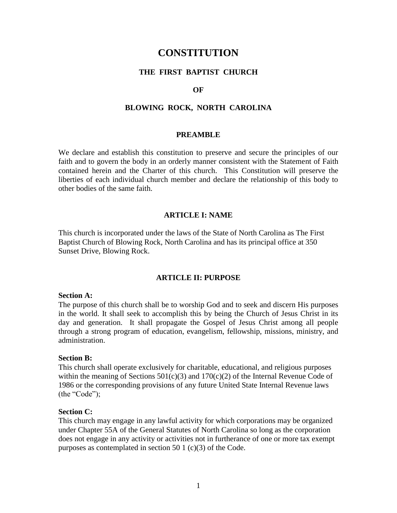# **CONSTITUTION**

### **THE FIRST BAPTIST CHURCH**

### **OF**

### **BLOWING ROCK, NORTH CAROLINA**

#### **PREAMBLE**

We declare and establish this constitution to preserve and secure the principles of our faith and to govern the body in an orderly manner consistent with the Statement of Faith contained herein and the Charter of this church. This Constitution will preserve the liberties of each individual church member and declare the relationship of this body to other bodies of the same faith.

#### **ARTICLE I: NAME**

This church is incorporated under the laws of the State of North Carolina as The First Baptist Church of Blowing Rock, North Carolina and has its principal office at 350 Sunset Drive, Blowing Rock.

### **ARTICLE II: PURPOSE**

#### **Section A:**

The purpose of this church shall be to worship God and to seek and discern His purposes in the world. It shall seek to accomplish this by being the Church of Jesus Christ in its day and generation. It shall propagate the Gospel of Jesus Christ among all people through a strong program of education, evangelism, fellowship, missions, ministry, and administration.

#### **Section B:**

This church shall operate exclusively for charitable, educational, and religious purposes within the meaning of Sections  $501(c)(3)$  and  $170(c)(2)$  of the Internal Revenue Code of 1986 or the corresponding provisions of any future United State Internal Revenue laws (the "Code");

#### **Section C:**

This church may engage in any lawful activity for which corporations may be organized under Chapter 55A of the General Statutes of North Carolina so long as the corporation does not engage in any activity or activities not in furtherance of one or more tax exempt purposes as contemplated in section 50 1 (c)(3) of the Code.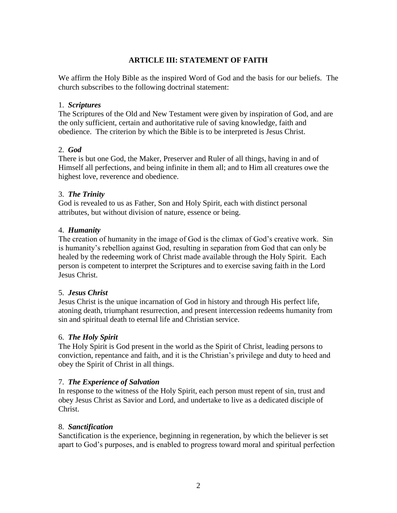## **ARTICLE III: STATEMENT OF FAITH**

We affirm the Holy Bible as the inspired Word of God and the basis for our beliefs. The church subscribes to the following doctrinal statement:

## 1. *Scriptures*

The Scriptures of the Old and New Testament were given by inspiration of God, and are the only sufficient, certain and authoritative rule of saving knowledge, faith and obedience. The criterion by which the Bible is to be interpreted is Jesus Christ.

## 2. *God*

There is but one God, the Maker, Preserver and Ruler of all things, having in and of Himself all perfections, and being infinite in them all; and to Him all creatures owe the highest love, reverence and obedience.

## 3. *The Trinity*

God is revealed to us as Father, Son and Holy Spirit, each with distinct personal attributes, but without division of nature, essence or being.

## 4. *Humanity*

The creation of humanity in the image of God is the climax of God's creative work. Sin is humanity's rebellion against God, resulting in separation from God that can only be healed by the redeeming work of Christ made available through the Holy Spirit. Each person is competent to interpret the Scriptures and to exercise saving faith in the Lord Jesus Christ.

## 5. *Jesus Christ*

Jesus Christ is the unique incarnation of God in history and through His perfect life, atoning death, triumphant resurrection, and present intercession redeems humanity from sin and spiritual death to eternal life and Christian service.

## 6. *The Holy Spirit*

The Holy Spirit is God present in the world as the Spirit of Christ, leading persons to conviction, repentance and faith, and it is the Christian's privilege and duty to heed and obey the Spirit of Christ in all things.

## 7. *The Experience of Salvation*

In response to the witness of the Holy Spirit, each person must repent of sin, trust and obey Jesus Christ as Savior and Lord, and undertake to live as a dedicated disciple of Christ.

## 8. *Sanctification*

Sanctification is the experience, beginning in regeneration, by which the believer is set apart to God's purposes, and is enabled to progress toward moral and spiritual perfection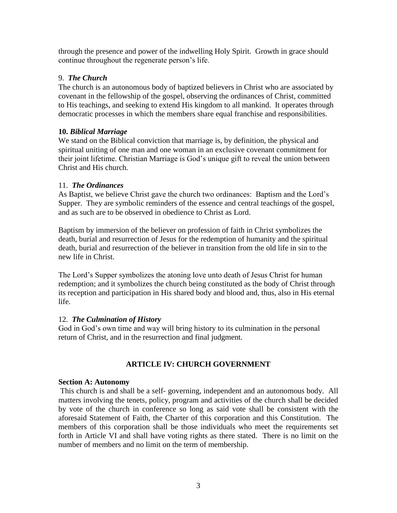through the presence and power of the indwelling Holy Spirit. Growth in grace should continue throughout the regenerate person's life.

## 9. *The Church*

The church is an autonomous body of baptized believers in Christ who are associated by covenant in the fellowship of the gospel, observing the ordinances of Christ, committed to His teachings, and seeking to extend His kingdom to all mankind. It operates through democratic processes in which the members share equal franchise and responsibilities.

## **10.** *Biblical Marriage*

We stand on the Biblical conviction that marriage is, by definition, the physical and spiritual uniting of one man and one woman in an exclusive covenant commitment for their joint lifetime. Christian Marriage is God's unique gift to reveal the union between Christ and His church.

## 11. *The Ordinances*

As Baptist, we believe Christ gave the church two ordinances: Baptism and the Lord's Supper. They are symbolic reminders of the essence and central teachings of the gospel, and as such are to be observed in obedience to Christ as Lord.

Baptism by immersion of the believer on profession of faith in Christ symbolizes the death, burial and resurrection of Jesus for the redemption of humanity and the spiritual death, burial and resurrection of the believer in transition from the old life in sin to the new life in Christ.

The Lord's Supper symbolizes the atoning love unto death of Jesus Christ for human redemption; and it symbolizes the church being constituted as the body of Christ through its reception and participation in His shared body and blood and, thus, also in His eternal life.

# 12. *The Culmination of History*

God in God's own time and way will bring history to its culmination in the personal return of Christ, and in the resurrection and final judgment.

# **ARTICLE IV: CHURCH GOVERNMENT**

## **Section A: Autonomy**

This church is and shall be a self- governing, independent and an autonomous body. All matters involving the tenets, policy, program and activities of the church shall be decided by vote of the church in conference so long as said vote shall be consistent with the aforesaid Statement of Faith, the Charter of this corporation and this Constitution. The members of this corporation shall be those individuals who meet the requirements set forth in Article VI and shall have voting rights as there stated. There is no limit on the number of members and no limit on the term of membership.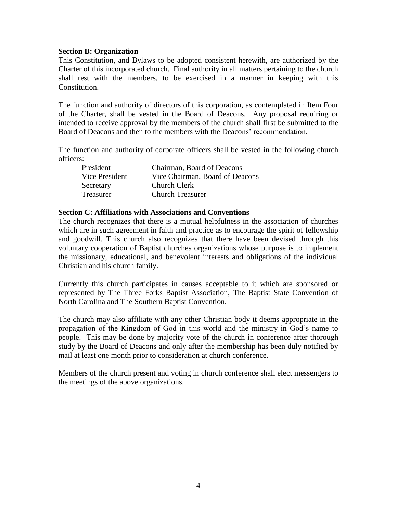### **Section B: Organization**

This Constitution, and Bylaws to be adopted consistent herewith, are authorized by the Charter of this incorporated church. Final authority in all matters pertaining to the church shall rest with the members, to be exercised in a manner in keeping with this Constitution.

The function and authority of directors of this corporation, as contemplated in Item Four of the Charter, shall be vested in the Board of Deacons. Any proposal requiring or intended to receive approval by the members of the church shall first be submitted to the Board of Deacons and then to the members with the Deacons' recommendation.

The function and authority of corporate officers shall be vested in the following church officers:

| President      | Chairman, Board of Deacons      |
|----------------|---------------------------------|
| Vice President | Vice Chairman, Board of Deacons |
| Secretary      | Church Clerk                    |
| Treasurer      | <b>Church Treasurer</b>         |

### **Section C: Affiliations with Associations and Conventions**

The church recognizes that there is a mutual helpfulness in the association of churches which are in such agreement in faith and practice as to encourage the spirit of fellowship and goodwill. This church also recognizes that there have been devised through this voluntary cooperation of Baptist churches organizations whose purpose is to implement the missionary, educational, and benevolent interests and obligations of the individual Christian and his church family.

Currently this church participates in causes acceptable to it which are sponsored or represented by The Three Forks Baptist Association, The Baptist State Convention of North Carolina and The Southern Baptist Convention,

The church may also affiliate with any other Christian body it deems appropriate in the propagation of the Kingdom of God in this world and the ministry in God's name to people. This may be done by majority vote of the church in conference after thorough study by the Board of Deacons and only after the membership has been duly notified by mail at least one month prior to consideration at church conference.

Members of the church present and voting in church conference shall elect messengers to the meetings of the above organizations.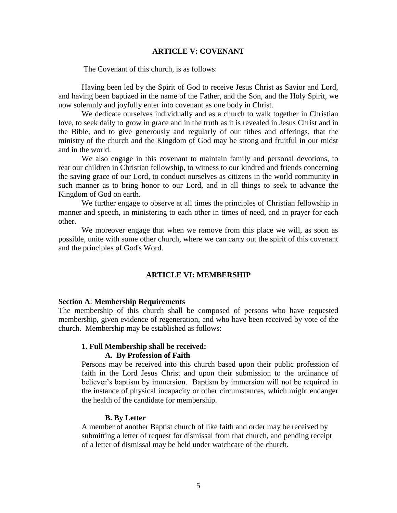#### **ARTICLE V: COVENANT**

The Covenant of this church, is as follows:

Having been led by the Spirit of God to receive Jesus Christ as Savior and Lord, and having been baptized in the name of the Father, and the Son, and the Holy Spirit, we now solemnly and joyfully enter into covenant as one body in Christ.

 We dedicate ourselves individually and as a church to walk together in Christian love, to seek daily to grow in grace and in the truth as it is revealed in Jesus Christ and in the Bible, and to give generously and regularly of our tithes and offerings, that the ministry of the church and the Kingdom of God may be strong and fruitful in our midst and in the world.

 We also engage in this covenant to maintain family and personal devotions, to rear our children in Christian fellowship, to witness to our kindred and friends concerning the saving grace of our Lord, to conduct ourselves as citizens in the world community in such manner as to bring honor to our Lord, and in all things to seek to advance the Kingdom of God on earth.

 We further engage to observe at all times the principles of Christian fellowship in manner and speech, in ministering to each other in times of need, and in prayer for each other.

 We moreover engage that when we remove from this place we will, as soon as possible, unite with some other church, where we can carry out the spirit of this covenant and the principles of God's Word.

### **ARTICLE VI: MEMBERSHIP**

#### **Section A**: **Membership Requirements**

The membership of this church shall be composed of persons who have requested membership, given evidence of regeneration, and who have been received by vote of the church. Membership may be established as follows:

#### **1. Full Membership shall be received:**

#### **A. By Profession of Faith**

P**e**rsons may be received into this church based upon their public profession of faith in the Lord Jesus Christ and upon their submission to the ordinance of believer's baptism by immersion. Baptism by immersion will not be required in the instance of physical incapacity or other circumstances, which might endanger the health of the candidate for membership.

#### **B. By Letter**

A member of another Baptist church of like faith and order may be received by submitting a letter of request for dismissal from that church, and pending receipt of a letter of dismissal may be held under watchcare of the church.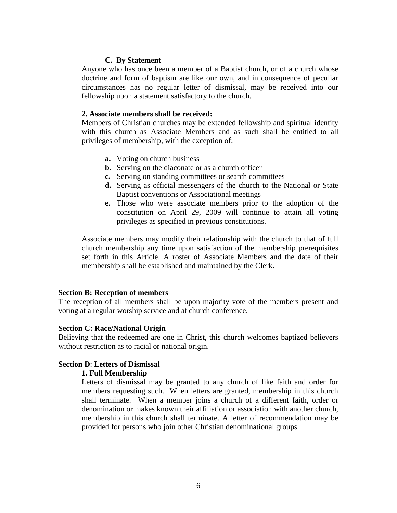### **C. By Statement**

Anyone who has once been a member of a Baptist church, or of a church whose doctrine and form of baptism are like our own, and in consequence of peculiar circumstances has no regular letter of dismissal, may be received into our fellowship upon a statement satisfactory to the church.

### **2. Associate members shall be received:**

Members of Christian churches may be extended fellowship and spiritual identity with this church as Associate Members and as such shall be entitled to all privileges of membership, with the exception of;

- **a.** Voting on church business
- **b.** Serving on the diaconate or as a church officer
- **c.** Serving on standing committees or search committees
- **d.** Serving as official messengers of the church to the National or State Baptist conventions or Associational meetings
- **e.** Those who were associate members prior to the adoption of the constitution on April 29, 2009 will continue to attain all voting privileges as specified in previous constitutions.

Associate members may modify their relationship with the church to that of full church membership any time upon satisfaction of the membership prerequisites set forth in this Article. A roster of Associate Members and the date of their membership shall be established and maintained by the Clerk.

#### **Section B: Reception of members**

The reception of all members shall be upon majority vote of the members present and voting at a regular worship service and at church conference.

#### **Section C: Race/National Origin**

Believing that the redeemed are one in Christ, this church welcomes baptized believers without restriction as to racial or national origin.

### **Section D**: **Letters of Dismissal**

#### **1. Full Membership**

Letters of dismissal may be granted to any church of like faith and order for members requesting such. When letters are granted, membership in this church shall terminate. When a member joins a church of a different faith, order or denomination or makes known their affiliation or association with another church, membership in this church shall terminate. A letter of recommendation may be provided for persons who join other Christian denominational groups.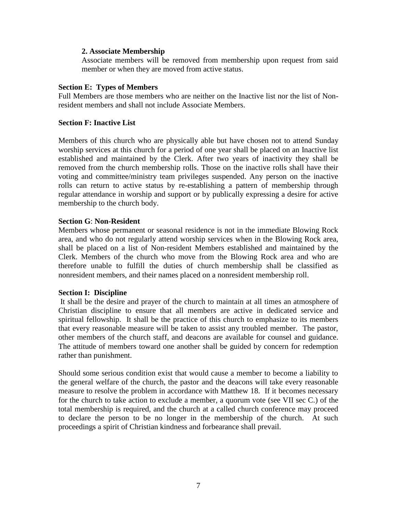### **2. Associate Membership**

Associate members will be removed from membership upon request from said member or when they are moved from active status.

### **Section E: Types of Members**

Full Members are those members who are neither on the Inactive list nor the list of Nonresident members and shall not include Associate Members.

### **Section F: Inactive List**

Members of this church who are physically able but have chosen not to attend Sunday worship services at this church for a period of one year shall be placed on an Inactive list established and maintained by the Clerk. After two years of inactivity they shall be removed from the church membership rolls. Those on the inactive rolls shall have their voting and committee/ministry team privileges suspended. Any person on the inactive rolls can return to active status by re-establishing a pattern of membership through regular attendance in worship and support or by publically expressing a desire for active membership to the church body.

### **Section G**: **Non-Resident**

Members whose permanent or seasonal residence is not in the immediate Blowing Rock area, and who do not regularly attend worship services when in the Blowing Rock area, shall be placed on a list of Non-resident Members established and maintained by the Clerk. Members of the church who move from the Blowing Rock area and who are therefore unable to fulfill the duties of church membership shall be classified as nonresident members, and their names placed on a nonresident membership roll.

### **Section I: Discipline**

It shall be the desire and prayer of the church to maintain at all times an atmosphere of Christian discipline to ensure that all members are active in dedicated service and spiritual fellowship. It shall be the practice of this church to emphasize to its members that every reasonable measure will be taken to assist any troubled member. The pastor, other members of the church staff, and deacons are available for counsel and guidance. The attitude of members toward one another shall be guided by concern for redemption rather than punishment.

Should some serious condition exist that would cause a member to become a liability to the general welfare of the church, the pastor and the deacons will take every reasonable measure to resolve the problem in accordance with Matthew 18. If it becomes necessary for the church to take action to exclude a member, a quorum vote (see VII sec C.) of the total membership is required, and the church at a called church conference may proceed to declare the person to be no longer in the membership of the church. At such proceedings a spirit of Christian kindness and forbearance shall prevail.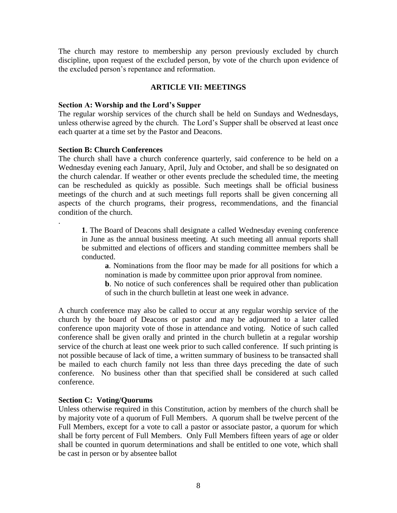The church may restore to membership any person previously excluded by church discipline, upon request of the excluded person, by vote of the church upon evidence of the excluded person's repentance and reformation.

## **ARTICLE VII: MEETINGS**

### **Section A: Worship and the Lord's Supper**

The regular worship services of the church shall be held on Sundays and Wednesdays, unless otherwise agreed by the church. The Lord's Supper shall be observed at least once each quarter at a time set by the Pastor and Deacons.

### **Section B: Church Conferences**

.

The church shall have a church conference quarterly, said conference to be held on a Wednesday evening each January, April, July and October, and shall be so designated on the church calendar. If weather or other events preclude the scheduled time, the meeting can be rescheduled as quickly as possible. Such meetings shall be official business meetings of the church and at such meetings full reports shall be given concerning all aspects of the church programs, their progress, recommendations, and the financial condition of the church.

**1**. The Board of Deacons shall designate a called Wednesday evening conference in June as the annual business meeting. At such meeting all annual reports shall be submitted and elections of officers and standing committee members shall be conducted.

**a**. Nominations from the floor may be made for all positions for which a nomination is made by committee upon prior approval from nominee.

**b**. No notice of such conferences shall be required other than publication of such in the church bulletin at least one week in advance.

A church conference may also be called to occur at any regular worship service of the church by the board of Deacons or pastor and may be adjourned to a later called conference upon majority vote of those in attendance and voting. Notice of such called conference shall be given orally and printed in the church bulletin at a regular worship service of the church at least one week prior to such called conference. If such printing is not possible because of lack of time, a written summary of business to be transacted shall be mailed to each church family not less than three days preceding the date of such conference. No business other than that specified shall be considered at such called conference.

### **Section C: Voting/Quorums**

Unless otherwise required in this Constitution, action by members of the church shall be by majority vote of a quorum of Full Members. A quorum shall be twelve percent of the Full Members, except for a vote to call a pastor or associate pastor, a quorum for which shall be forty percent of Full Members. Only Full Members fifteen years of age or older shall be counted in quorum determinations and shall be entitled to one vote, which shall be cast in person or by absentee ballot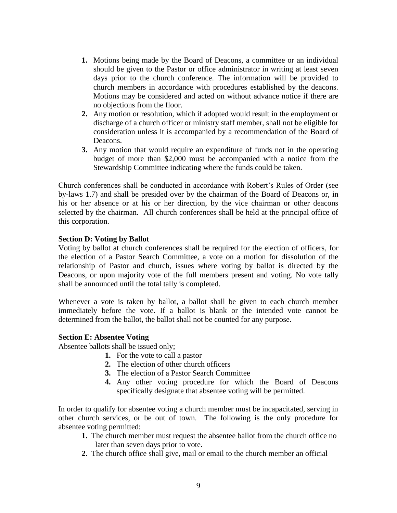- **1.** Motions being made by the Board of Deacons, a committee or an individual should be given to the Pastor or office administrator in writing at least seven days prior to the church conference. The information will be provided to church members in accordance with procedures established by the deacons. Motions may be considered and acted on without advance notice if there are no objections from the floor.
- **2.** Any motion or resolution, which if adopted would result in the employment or discharge of a church officer or ministry staff member, shall not be eligible for consideration unless it is accompanied by a recommendation of the Board of Deacons.
- **3.** Any motion that would require an expenditure of funds not in the operating budget of more than \$2,000 must be accompanied with a notice from the Stewardship Committee indicating where the funds could be taken.

Church conferences shall be conducted in accordance with Robert's Rules of Order (see by-laws 1.7) and shall be presided over by the chairman of the Board of Deacons or, in his or her absence or at his or her direction, by the vice chairman or other deacons selected by the chairman. All church conferences shall be held at the principal office of this corporation.

### **Section D: Voting by Ballot**

Voting by ballot at church conferences shall be required for the election of officers, for the election of a Pastor Search Committee, a vote on a motion for dissolution of the relationship of Pastor and church, issues where voting by ballot is directed by the Deacons, or upon majority vote of the full members present and voting. No vote tally shall be announced until the total tally is completed.

Whenever a vote is taken by ballot, a ballot shall be given to each church member immediately before the vote. If a ballot is blank or the intended vote cannot be determined from the ballot, the ballot shall not be counted for any purpose.

### **Section E: Absentee Voting**

Absentee ballots shall be issued only;

- **1.** For the vote to call a pastor
- **2.** The election of other church officers
- **3.** The election of a Pastor Search Committee
- **4.** Any other voting procedure for which the Board of Deacons specifically designate that absentee voting will be permitted.

In order to qualify for absentee voting a church member must be incapacitated, serving in other church services, or be out of town. The following is the only procedure for absentee voting permitted:

- **1.** The church member must request the absentee ballot from the church office no later than seven days prior to vote.
- **2**. The church office shall give, mail or email to the church member an official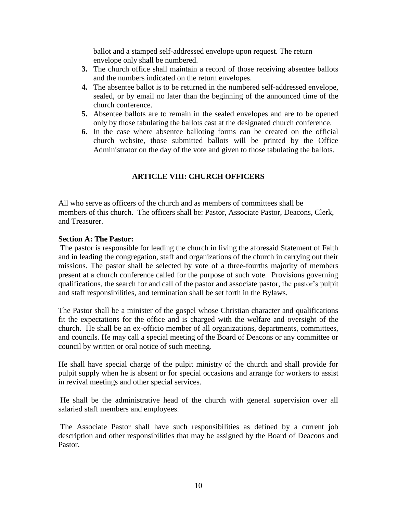ballot and a stamped self-addressed envelope upon request. The return envelope only shall be numbered.

- **3.** The church office shall maintain a record of those receiving absentee ballots and the numbers indicated on the return envelopes.
- **4.** The absentee ballot is to be returned in the numbered self-addressed envelope, sealed, or by email no later than the beginning of the announced time of the church conference.
- **5.** Absentee ballots are to remain in the sealed envelopes and are to be opened only by those tabulating the ballots cast at the designated church conference.
- **6.** In the case where absentee balloting forms can be created on the official church website, those submitted ballots will be printed by the Office Administrator on the day of the vote and given to those tabulating the ballots.

# **ARTICLE VIII: CHURCH OFFICERS**

All who serve as officers of the church and as members of committees shall be members of this church. The officers shall be: Pastor, Associate Pastor, Deacons, Clerk, and Treasurer.

## **Section A: The Pastor:**

The pastor is responsible for leading the church in living the aforesaid Statement of Faith and in leading the congregation, staff and organizations of the church in carrying out their missions. The pastor shall be selected by vote of a three-fourths majority of members present at a church conference called for the purpose of such vote. Provisions governing qualifications, the search for and call of the pastor and associate pastor, the pastor's pulpit and staff responsibilities, and termination shall be set forth in the Bylaws.

The Pastor shall be a minister of the gospel whose Christian character and qualifications fit the expectations for the office and is charged with the welfare and oversight of the church. He shall be an ex-officio member of all organizations, departments, committees, and councils. He may call a special meeting of the Board of Deacons or any committee or council by written or oral notice of such meeting.

He shall have special charge of the pulpit ministry of the church and shall provide for pulpit supply when he is absent or for special occasions and arrange for workers to assist in revival meetings and other special services.

He shall be the administrative head of the church with general supervision over all salaried staff members and employees.

The Associate Pastor shall have such responsibilities as defined by a current job description and other responsibilities that may be assigned by the Board of Deacons and Pastor.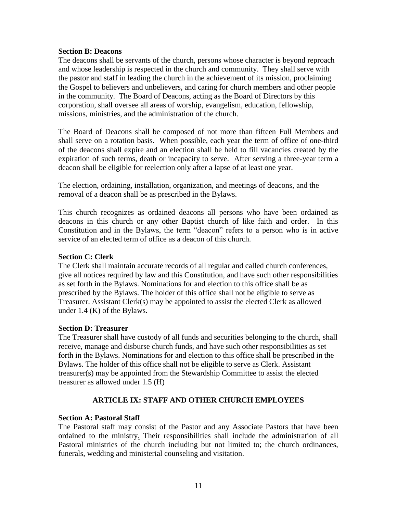### **Section B: Deacons**

The deacons shall be servants of the church, persons whose character is beyond reproach and whose leadership is respected in the church and community. They shall serve with the pastor and staff in leading the church in the achievement of its mission, proclaiming the Gospel to believers and unbelievers, and caring for church members and other people in the community. The Board of Deacons, acting as the Board of Directors by this corporation, shall oversee all areas of worship, evangelism, education, fellowship, missions, ministries, and the administration of the church.

The Board of Deacons shall be composed of not more than fifteen Full Members and shall serve on a rotation basis. When possible, each year the term of office of one-third of the deacons shall expire and an election shall be held to fill vacancies created by the expiration of such terms, death or incapacity to serve. After serving a three-year term a deacon shall be eligible for reelection only after a lapse of at least one year.

The election, ordaining, installation, organization, and meetings of deacons, and the removal of a deacon shall be as prescribed in the Bylaws.

This church recognizes as ordained deacons all persons who have been ordained as deacons in this church or any other Baptist church of like faith and order. In this Constitution and in the Bylaws, the term "deacon" refers to a person who is in active service of an elected term of office as a deacon of this church.

### **Section C: Clerk**

The Clerk shall maintain accurate records of all regular and called church conferences, give all notices required by law and this Constitution, and have such other responsibilities as set forth in the Bylaws. Nominations for and election to this office shall be as prescribed by the Bylaws. The holder of this office shall not be eligible to serve as Treasurer. Assistant Clerk(s) may be appointed to assist the elected Clerk as allowed under 1.4 (K) of the Bylaws.

### **Section D: Treasurer**

The Treasurer shall have custody of all funds and securities belonging to the church, shall receive, manage and disburse church funds, and have such other responsibilities as set forth in the Bylaws. Nominations for and election to this office shall be prescribed in the Bylaws. The holder of this office shall not be eligible to serve as Clerk. Assistant treasurer(s) may be appointed from the Stewardship Committee to assist the elected treasurer as allowed under 1.5 (H)

### **ARTICLE IX: STAFF AND OTHER CHURCH EMPLOYEES**

### **Section A: Pastoral Staff**

The Pastoral staff may consist of the Pastor and any Associate Pastors that have been ordained to the ministry. Their responsibilities shall include the administration of all Pastoral ministries of the church including but not limited to; the church ordinances, funerals, wedding and ministerial counseling and visitation.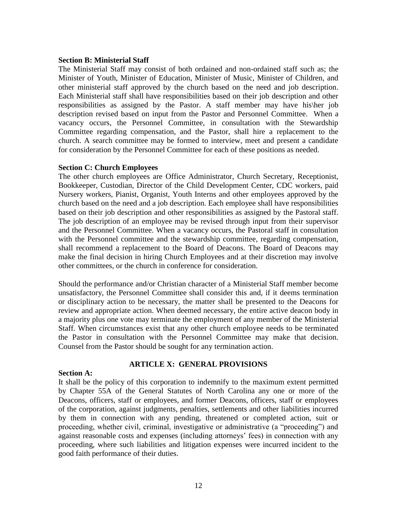### **Section B: Ministerial Staff**

The Ministerial Staff may consist of both ordained and non-ordained staff such as; the Minister of Youth, Minister of Education, Minister of Music, Minister of Children, and other ministerial staff approved by the church based on the need and job description. Each Ministerial staff shall have responsibilities based on their job description and other responsibilities as assigned by the Pastor. A staff member may have his\her job description revised based on input from the Pastor and Personnel Committee. When a vacancy occurs, the Personnel Committee, in consultation with the Stewardship Committee regarding compensation, and the Pastor, shall hire a replacement to the church. A search committee may be formed to interview, meet and present a candidate for consideration by the Personnel Committee for each of these positions as needed.

### **Section C: Church Employees**

The other church employees are Office Administrator, Church Secretary, Receptionist, Bookkeeper, Custodian, Director of the Child Development Center, CDC workers, paid Nursery workers, Pianist, Organist, Youth Interns and other employees approved by the church based on the need and a job description. Each employee shall have responsibilities based on their job description and other responsibilities as assigned by the Pastoral staff. The job description of an employee may be revised through input from their supervisor and the Personnel Committee. When a vacancy occurs, the Pastoral staff in consultation with the Personnel committee and the stewardship committee, regarding compensation, shall recommend a replacement to the Board of Deacons. The Board of Deacons may make the final decision in hiring Church Employees and at their discretion may involve other committees, or the church in conference for consideration.

Should the performance and/or Christian character of a Ministerial Staff member become unsatisfactory, the Personnel Committee shall consider this and, if it deems termination or disciplinary action to be necessary, the matter shall be presented to the Deacons for review and appropriate action. When deemed necessary, the entire active deacon body in a majority plus one vote may terminate the employment of any member of the Ministerial Staff. When circumstances exist that any other church employee needs to be terminated the Pastor in consultation with the Personnel Committee may make that decision. Counsel from the Pastor should be sought for any termination action.

## **ARTICLE X: GENERAL PROVISIONS**

### **Section A:**

It shall be the policy of this corporation to indemnify to the maximum extent permitted by Chapter 55A of the General Statutes of North Carolina any one or more of the Deacons, officers, staff or employees, and former Deacons, officers, staff or employees of the corporation, against judgments, penalties, settlements and other liabilities incurred by them in connection with any pending, threatened or completed action, suit or proceeding, whether civil, criminal, investigative or administrative (a "proceeding") and against reasonable costs and expenses (including attorneys' fees) in connection with any proceeding, where such liabilities and litigation expenses were incurred incident to the good faith performance of their duties.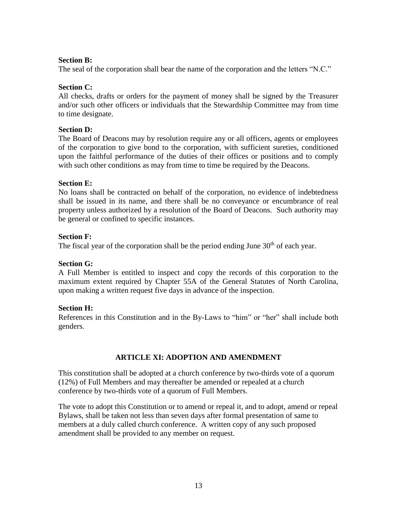## **Section B:**

The seal of the corporation shall bear the name of the corporation and the letters "N.C."

## **Section C:**

All checks, drafts or orders for the payment of money shall be signed by the Treasurer and/or such other officers or individuals that the Stewardship Committee may from time to time designate.

### **Section D:**

The Board of Deacons may by resolution require any or all officers, agents or employees of the corporation to give bond to the corporation, with sufficient sureties, conditioned upon the faithful performance of the duties of their offices or positions and to comply with such other conditions as may from time to time be required by the Deacons.

## **Section E:**

No loans shall be contracted on behalf of the corporation, no evidence of indebtedness shall be issued in its name, and there shall be no conveyance or encumbrance of real property unless authorized by a resolution of the Board of Deacons. Such authority may be general or confined to specific instances.

## **Section F:**

The fiscal year of the corporation shall be the period ending June  $30<sup>th</sup>$  of each year.

## **Section G:**

A Full Member is entitled to inspect and copy the records of this corporation to the maximum extent required by Chapter 55A of the General Statutes of North Carolina, upon making a written request five days in advance of the inspection.

### **Section H:**

References in this Constitution and in the By-Laws to "him" or "her" shall include both genders.

## **ARTICLE XI: ADOPTION AND AMENDMENT**

This constitution shall be adopted at a church conference by two-thirds vote of a quorum (12%) of Full Members and may thereafter be amended or repealed at a church conference by two-thirds vote of a quorum of Full Members.

The vote to adopt this Constitution or to amend or repeal it, and to adopt, amend or repeal Bylaws, shall be taken not less than seven days after formal presentation of same to members at a duly called church conference. A written copy of any such proposed amendment shall be provided to any member on request.